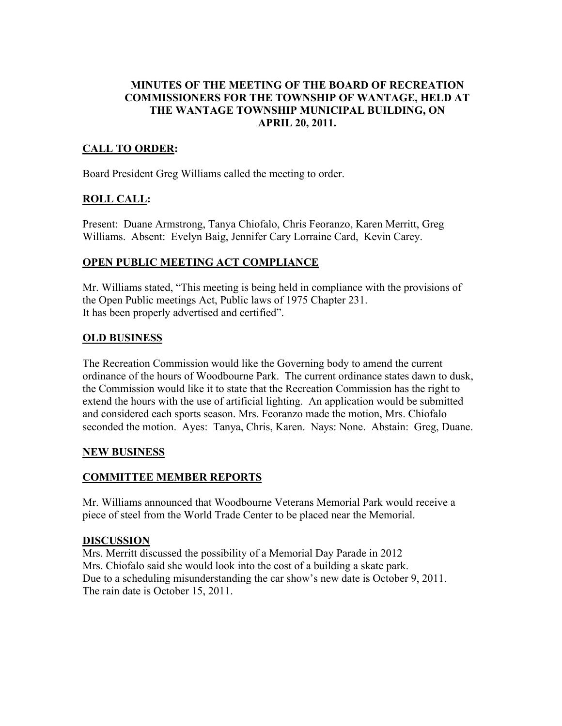# MINUTES OF THE MEETING OF THE BOARD OF RECREATION COMMISSIONERS FOR THE TOWNSHIP OF WANTAGE, HELD AT THE WANTAGE TOWNSHIP MUNICIPAL BUILDING, ON APRIL 20, 2011.

# CALL TO ORDER:

Board President Greg Williams called the meeting to order.

# ROLL CALL:

Present: Duane Armstrong, Tanya Chiofalo, Chris Feoranzo, Karen Merritt, Greg Williams. Absent: Evelyn Baig, Jennifer Cary Lorraine Card, Kevin Carey.

# OPEN PUBLIC MEETING ACT COMPLIANCE

Mr. Williams stated, "This meeting is being held in compliance with the provisions of the Open Public meetings Act, Public laws of 1975 Chapter 231. It has been properly advertised and certified".

#### OLD BUSINESS

The Recreation Commission would like the Governing body to amend the current ordinance of the hours of Woodbourne Park. The current ordinance states dawn to dusk, the Commission would like it to state that the Recreation Commission has the right to extend the hours with the use of artificial lighting. An application would be submitted and considered each sports season. Mrs. Feoranzo made the motion, Mrs. Chiofalo seconded the motion. Ayes: Tanya, Chris, Karen. Nays: None. Abstain: Greg, Duane.

# NEW BUSINESS

# COMMITTEE MEMBER REPORTS

Mr. Williams announced that Woodbourne Veterans Memorial Park would receive a piece of steel from the World Trade Center to be placed near the Memorial.

#### DISCUSSION

Mrs. Merritt discussed the possibility of a Memorial Day Parade in 2012 Mrs. Chiofalo said she would look into the cost of a building a skate park. Due to a scheduling misunderstanding the car show's new date is October 9, 2011. The rain date is October 15, 2011.